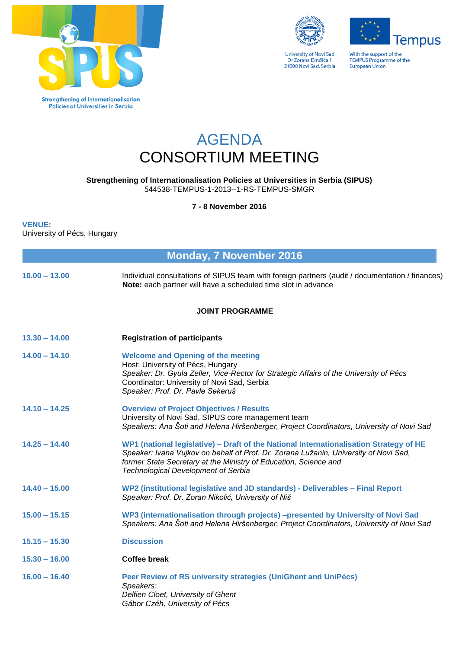



**University of Novi Sad** Dr Zorana Đinđića 1<br>21000 Novi Sad, Serbia **Tempus** 

With the support of the<br>TEMPUS Programme of the<br>European Union

## AGENDA CONSORTIUM MEETING

**Strengthening of Internationalisation Policies at Universities in Serbia (SIPUS)** 544538-TEMPUS-1-2013--1-RS-TEMPUS-SMGR

**7 - 8 November 2016**

## **VENUE:**

University of Pécs, Hungary

| <b>Monday, 7 November 2016</b> |                                                                                                                                                                                                                                                                                                  |  |
|--------------------------------|--------------------------------------------------------------------------------------------------------------------------------------------------------------------------------------------------------------------------------------------------------------------------------------------------|--|
| $10.00 - 13.00$                | Individual consultations of SIPUS team with foreign partners (audit / documentation / finances)<br>Note: each partner will have a scheduled time slot in advance                                                                                                                                 |  |
|                                | <b>JOINT PROGRAMME</b>                                                                                                                                                                                                                                                                           |  |
| $13.30 - 14.00$                | <b>Registration of participants</b>                                                                                                                                                                                                                                                              |  |
| $14.00 - 14.10$                | <b>Welcome and Opening of the meeting</b><br>Host: University of Pécs, Hungary<br>Speaker: Dr. Gyula Zeller, Vice-Rector for Strategic Affairs of the University of Pécs<br>Coordinator: University of Novi Sad, Serbia<br>Speaker: Prof. Dr. Pavle Sekeruš                                      |  |
| $14.10 - 14.25$                | <b>Overview of Project Objectives / Results</b><br>University of Novi Sad, SIPUS core management team<br>Speakers: Ana Šoti and Helena Hiršenberger, Project Coordinators, University of Novi Sad                                                                                                |  |
| $14.25 - 14.40$                | WP1 (national legislative) - Draft of the National Internationalisation Strategy of HE<br>Speaker: Ivana Vujkov on behalf of Prof. Dr. Zorana Lužanin, University of Novi Sad,<br>former State Secretary at the Ministry of Education, Science and<br><b>Technological Development of Serbia</b> |  |
| $14.40 - 15.00$                | WP2 (institutional legislative and JD standards) - Deliverables - Final Report<br>Speaker: Prof. Dr. Zoran Nikolić, University of Niš                                                                                                                                                            |  |
| $15.00 - 15.15$                | WP3 (internationalisation through projects) -presented by University of Novi Sad<br>Speakers: Ana Šoti and Helena Hiršenberger, Project Coordinators, University of Novi Sad                                                                                                                     |  |
| $15.15 - 15.30$                | <b>Discussion</b>                                                                                                                                                                                                                                                                                |  |
| $15.30 - 16.00$                | <b>Coffee break</b>                                                                                                                                                                                                                                                                              |  |
| $16.00 - 16.40$                | Peer Review of RS university strategies (UniGhent and UniPécs)<br>Speakers:<br>Delfien Cloet, University of Ghent<br>Gábor Czéh, University of Pécs                                                                                                                                              |  |
|                                |                                                                                                                                                                                                                                                                                                  |  |